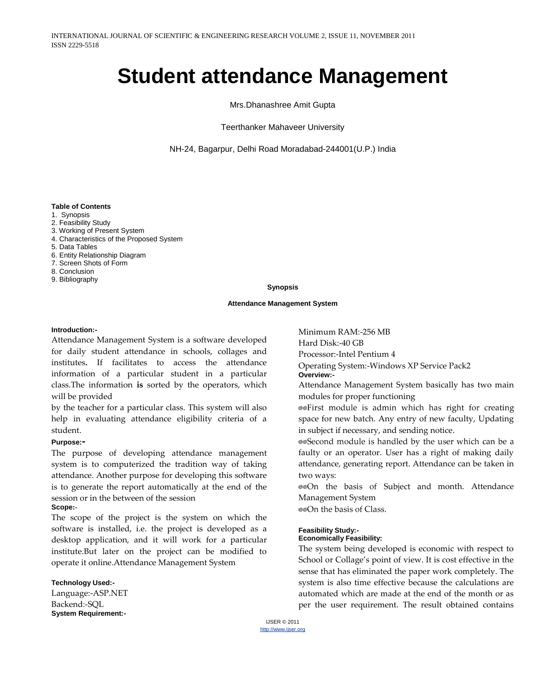# **Student attendance Management**

Mrs.Dhanashree Amit Gupta

Teerthanker Mahaveer University

NH-24, Bagarpur, Delhi Road Moradabad-244001(U.P.) India

#### **Table of Contents**

- 1. Synopsis
- 2. Feasibility Study
- 3. Working of Present System
- 4. Characteristics of the Proposed System
- 5. Data Tables
- 6. Entity Relationship Diagram
- 7. Screen Shots of Form
- 8. Conclusion
- 9. Bibliography

#### **Synopsis**

#### **Attendance Management System**

#### **Introduction:-**

Attendance Management System is a software developed for daily student attendance in schools, collages and institutes**.** If facilitates to access the attendance information of a particular student in a particular class.The information **is** sorted by the operators, which will be provided

by the teacher for a particular class. This system will also help in evaluating attendance eligibility criteria of a student.

#### **Purpose:-**

The purpose of developing attendance management system is to computerized the tradition way of taking attendance. Another purpose for developing this software is to generate the report automatically at the end of the session or in the between of the session **Scope:-**

The scope of the project is the system on which the software is installed, i.e. the project is developed as a desktop application, and it will work for a particular institute.But later on the project can be modified to operate it online.Attendance Management System

#### **Technology Used:-**

Language:-ASP.NET Backend:-SQL **System Requirement:-**

Minimum RAM:-256 MB Hard Disk:-40 GB Processor:-Intel Pentium 4 Operating System:-Windows XP Service Pack2 **Overview:-**

Attendance Management System basically has two main modules for proper functioning

⊚⊚First module is admin which has right for creating space for new batch. Any entry of new faculty, Updating in subject if necessary, and sending notice.

®®Second module is handled by the user which can be a faulty or an operator. User has a right of making daily attendance, generating report. Attendance can be taken in two ways:

@@On the basis of Subject and month. Attendance Management System

@@On the basis of Class.

#### **Feasibility Study:-**

#### **Economically Feasibility:**

The system being developed is economic with respect to School or Collage's point of view. It is cost effective in the sense that has eliminated the paper work completely. The system is also time effective because the calculations are automated which are made at the end of the month or as per the user requirement. The result obtained contains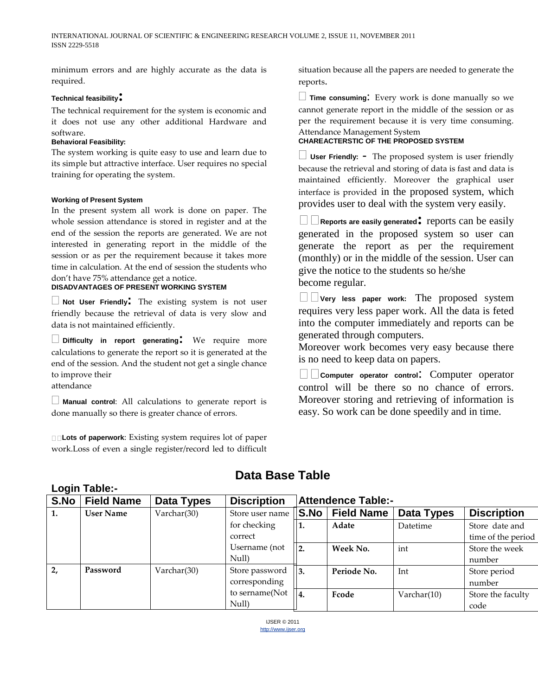minimum errors and are highly accurate as the data is required.

#### **Technical feasibility:**

The technical requirement for the system is economic and it does not use any other additional Hardware and software.

#### **Behavioral Feasibility:**

The system working is quite easy to use and learn due to its simple but attractive interface. User requires no special training for operating the system.

#### **Working of Present System**

In the present system all work is done on paper. The whole session attendance is stored in register and at the end of the session the reports are generated. We are not interested in generating report in the middle of the session or as per the requirement because it takes more time in calculation. At the end of session the students who don't have 75% attendance get a notice.

#### **DISADVANTAGES OF PRESENT WORKING SYSTEM**

**Not User Friendly:** The existing system is not user friendly because the retrieval of data is very slow and data is not maintained efficiently.

**Difficulty in report generating:** We require more calculations to generate the report so it is generated at the end of the session. And the student not get a single chance to improve their

attendance

**Login Table:-**

**Manual control**: All calculations to generate report is done manually so there is greater chance of errors.

**Lots of paperwork**: Existing system requires lot of paper work.Loss of even a single register/record led to difficult situation because all the papers are needed to generate the reports.

**Time consuming**: Every work is done manually so we cannot generate report in the middle of the session or as per the requirement because it is very time consuming. Attendance Management System

#### **CHAREACTERSTIC OF THE PROPOSED SYSTEM**

**User Friendly: -** The proposed system is user friendly because the retrieval and storing of data is fast and data is maintained efficiently. Moreover the graphical user interface is provided in the proposed system, which provides user to deal with the system very easily.

**Reports are easily generated:** reports can be easily generated in the proposed system so user can generate the report as per the requirement (monthly) or in the middle of the session. User can give the notice to the students so he/she become regular.

**Very less paper work:** The proposed system requires very less paper work. All the data is feted into the computer immediately and reports can be generated through computers.

Moreover work becomes very easy because there is no need to keep data on papers.

**Computer operator control:** Computer operator control will be there so no chance of errors. Moreover storing and retrieving of information is easy. So work can be done speedily and in time.

# **Data Base Table**

| S.No | <b>Field Name</b> | Data Types  | <b>Discription</b> | <b>Attendence Table:-</b> |                   |                |                    |  |  |
|------|-------------------|-------------|--------------------|---------------------------|-------------------|----------------|--------------------|--|--|
| 1.   | <b>User Name</b>  | Varchar(30) | Store user name    | S.No                      | <b>Field Name</b> | Data Types     | <b>Discription</b> |  |  |
|      |                   |             | for checking       | 1.                        | Adate             | Datetime       | Store date and     |  |  |
|      |                   |             | correct            |                           |                   |                | time of the period |  |  |
|      |                   |             | Username (not      | 2.                        | Week No.          | int            | Store the week     |  |  |
|      |                   |             | Null)              |                           |                   |                | number             |  |  |
| 2,   | Password          | Varchar(30) | Store password     | $\overline{3}$ .          | Periode No.       | Int            | Store period       |  |  |
|      |                   |             | corresponding      |                           |                   |                | number             |  |  |
|      |                   |             | to sername(Not     | $\overline{4}$            | Fcode             | Varchar $(10)$ | Store the faculty  |  |  |
|      |                   |             | Null)              |                           |                   |                | code               |  |  |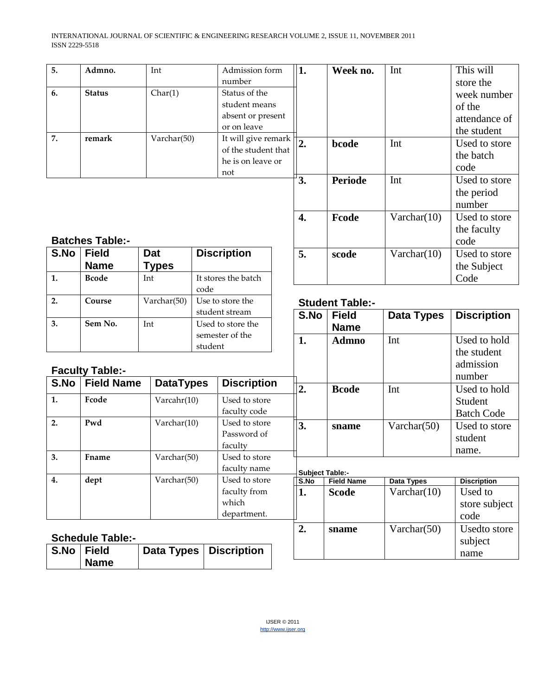| 5. | Admno.        | Int         | Admission form              | 11. | Week no.       | Int         | This will     |
|----|---------------|-------------|-----------------------------|-----|----------------|-------------|---------------|
|    |               |             | number                      |     |                |             | store the     |
| 6. | <b>Status</b> | Char(1)     | Status of the               |     |                |             | week number   |
|    |               |             | student means               |     |                |             | of the        |
|    |               |             | absent or present           |     |                |             | attendance of |
|    |               |             | or on leave                 |     |                |             | the student   |
| 7. | remark        | Varchar(50) | It will give remark $\ $ 2. |     | bcode          | Int         | Used to store |
|    |               |             | of the student that         |     |                |             | the batch     |
|    |               |             | he is on leave or           |     |                |             | code          |
|    |               |             | not                         |     |                |             |               |
|    |               |             |                             | 3.  | <b>Periode</b> | Int         | Used to store |
|    |               |             |                             |     |                |             | the period    |
|    |               |             |                             |     |                |             | number        |
|    |               |             |                             | 4.  | Fcode          | Varchar(10) | Used to store |
|    |               |             |                             |     |                |             | the faculty   |

# **Batches Table:-**

| S.No | <b>Field</b> | Dat          | <b>Discription</b>  |
|------|--------------|--------------|---------------------|
|      | <b>Name</b>  | <b>Types</b> |                     |
|      | <b>Bcode</b> | Int          | It stores the batch |
|      |              |              | code                |
| 2.   | Course       | Varchar(50)  | Use to store the    |
|      |              |              | student stream      |
| 3.   | Sem No.      | Int          | Used to store the   |
|      |              |              | semester of the     |
|      |              |              | student             |

# **Student Table:-**

**5. scode Varchar(10)** Used to store

code

the Subject Code

subject name

|                  |                        |                  | student stream    |                            | S.No | <b>Field</b>           | Data Types        | <b>Discription</b>                 |  |  |
|------------------|------------------------|------------------|-------------------|----------------------------|------|------------------------|-------------------|------------------------------------|--|--|
| 3.               | Sem No.                | Int              | Used to store the |                            |      | <b>Name</b>            |                   |                                    |  |  |
|                  |                        |                  |                   | semester of the<br>student |      | <b>Admno</b>           | Int               | Used to hold                       |  |  |
|                  | <b>Faculty Table:-</b> |                  |                   |                            |      |                        |                   | the student<br>admission<br>number |  |  |
| S.No             | <b>Field Name</b>      | <b>DataTypes</b> |                   | <b>Discription</b>         | 2.   | <b>Bcode</b>           | Int               | Used to hold                       |  |  |
| 1.               | Fcode                  | Varcahr(10)      |                   | Used to store              |      |                        |                   | Student                            |  |  |
|                  |                        |                  |                   | faculty code               |      |                        |                   | <b>Batch Code</b>                  |  |  |
| 2.               | Pwd                    | Varchar(10)      |                   | Used to store              | 3.   | sname                  | Varchar $(50)$    | Used to store                      |  |  |
|                  |                        |                  |                   | Password of                |      |                        |                   | student                            |  |  |
|                  |                        |                  |                   | faculty                    |      |                        |                   | name.                              |  |  |
| $\overline{3}$ . | Fname                  | Varchar(50)      |                   | Used to store              |      |                        |                   |                                    |  |  |
|                  |                        |                  |                   | faculty name               |      | <b>Subject Table:-</b> |                   |                                    |  |  |
| 4.               | dept                   | Varchar(50)      |                   | Used to store              | S.No | <b>Field Name</b>      | <b>Data Types</b> | <b>Discription</b>                 |  |  |
|                  |                        |                  |                   | faculty from               | 1.   | <b>Scode</b>           | Varchar(10)       | Used to                            |  |  |
|                  |                        |                  |                   | which                      |      |                        |                   | store subject                      |  |  |
|                  |                        |                  |                   | department.                |      |                        |                   | code                               |  |  |
|                  |                        |                  |                   |                            | 2.   | sname                  | Varchar $(50)$    | Usedto store                       |  |  |

# **Schedule Table:-**

| S.No Field |             | Data Types   Discription |  |
|------------|-------------|--------------------------|--|
|            | <b>Name</b> |                          |  |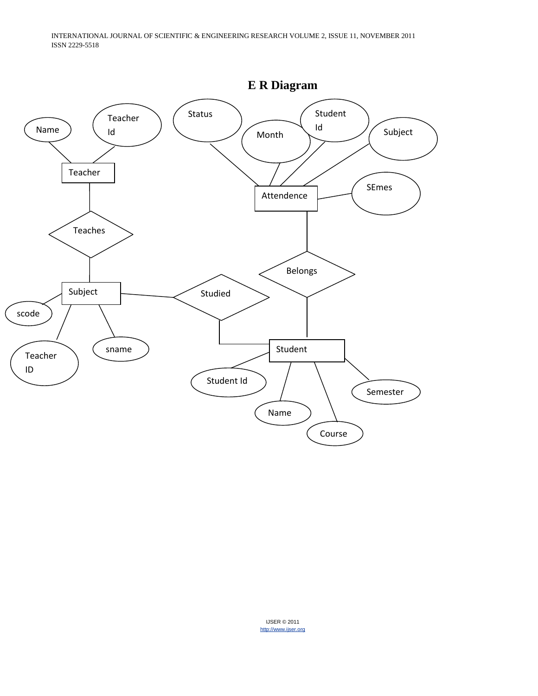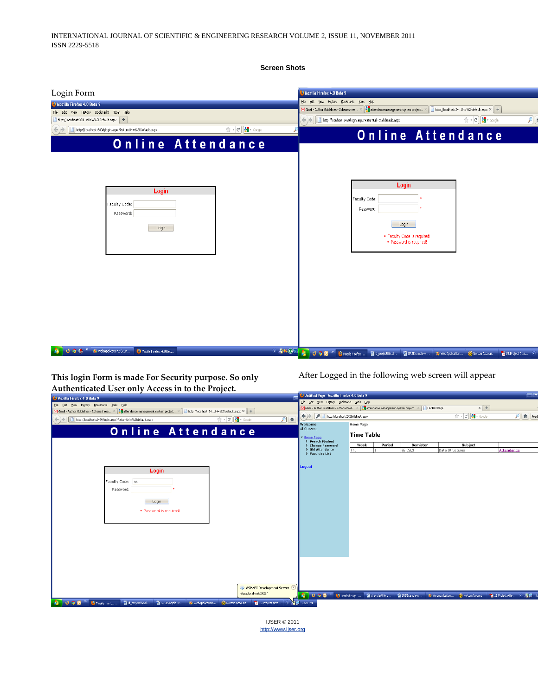**Screen Shots**

| Login Form                                                                                 |                                                               | Mozilla Firefox 4.0 Beta 9                                                                                                                                                                                                                                                                              |                     |
|--------------------------------------------------------------------------------------------|---------------------------------------------------------------|---------------------------------------------------------------------------------------------------------------------------------------------------------------------------------------------------------------------------------------------------------------------------------------------------------|---------------------|
| Mozilla Firefox 4.0 Beta 9                                                                 |                                                               | File Edit View History Bookmarks Tools Help                                                                                                                                                                                                                                                             |                     |
| Edit View History Bookmarks Tools Help<br>Ele<br>http://locahost:330nUrl=%2fDefault.aspx + |                                                               | <b>X</b> attendance management system project X<br>http://localhost:24Url=%2fdefault.aspx × +<br>Gmail - Author Guidelines - 2dhanashree ><br>$\frac{1}{\sqrt{2}}$ + $\frac{1}{C}$ $\frac{1}{C}$ + Google<br>http://localhost:2429/login.aspx?ReturnUrl=%2fdefault.aspx<br>$\leftarrow$ ) $\rightarrow$ | $\boldsymbol{\rho}$ |
| http://localhost:3308/login.aspx?ReturnUrl=%2fDefault.aspx                                 | $\uparrow$ $\uparrow$ $\sigma$ $\downarrow$ $\uparrow$ Google | <b>Online Attendance</b>                                                                                                                                                                                                                                                                                |                     |
| <b>Online Attendance</b>                                                                   |                                                               |                                                                                                                                                                                                                                                                                                         |                     |
| Login<br>Faculty Code:<br>Password:<br>Login                                               |                                                               | Login<br>Faculty Code:<br>Password:<br>Loqin<br>. Faculty Code is required!<br>· Password is required!                                                                                                                                                                                                  |                     |
| <b>UDC</b> "<br>WebApplication2 (Run<br>Mozila Firefox 4.0 Bet                             |                                                               |                                                                                                                                                                                                                                                                                                         | 15. Project Atte    |

**This login Form is made For Security purpose. So only Authenticated User only Access in to the Project.** 

After Logged in the following web screen will appear

| $\frac{1}{2}$ . The contract $\frac{1}{2}$ and $\frac{1}{2}$ . The contract $\frac{1}{2}$ and $\frac{1}{2}$ . The contract of $\frac{1}{2}$ | <sup>3</sup> Untitled Page - Mozilla Firefox 4.0 Beta 9 |                                                                                              |                                                | <b>Call</b> ie       |
|---------------------------------------------------------------------------------------------------------------------------------------------|---------------------------------------------------------|----------------------------------------------------------------------------------------------|------------------------------------------------|----------------------|
| <sup>2</sup> Mozilla Firefox 4.0 Beta 9                                                                                                     | File Edit View History Bookmarks Tools Help             |                                                                                              |                                                |                      |
| File Edit View History Bookmarks Tools Help                                                                                                 |                                                         | M Gmail - Author Guidelines - 2dhanashree X & attendance management system project           | $x +$<br><b>Untitled Page</b>                  |                      |
| M Gmail - Author Guidelines - 2dhanashree X 3 attendance management system project X 3<br>http://localhost:24Url=%2fdefault.aspx × +        | A http://localhost:2429/default.aspx                    |                                                                                              | $\frac{1}{12} - C \sqrt{3} \cdot \frac{1}{12}$ | $P$ fee              |
| $P$ fr<br>$\Rightarrow$ $e$ $\frac{1}{2}$ $\Rightarrow$ Google<br>http://localhost:2429/login.aspx?ReturnUrl=%2fdefault.aspx                | Welcome                                                 | Home Page                                                                                    |                                                |                      |
| Online Attendance                                                                                                                           | Al Stevens<br>Home Page                                 | <b>Time Table</b>                                                                            |                                                |                      |
|                                                                                                                                             | <b>D</b> Search Student<br>▷ Change Password            | Week<br>Period<br>Semister                                                                   | Subject                                        |                      |
|                                                                                                                                             | <b>DId Attendance</b><br><b>Faculties List</b>          | BE CS, 3<br>Thu                                                                              | Data Structures                                | Attendance           |
|                                                                                                                                             |                                                         |                                                                                              |                                                |                      |
|                                                                                                                                             | Logout                                                  |                                                                                              |                                                |                      |
| Login                                                                                                                                       |                                                         |                                                                                              |                                                |                      |
| Faculty Code: sa                                                                                                                            |                                                         |                                                                                              |                                                |                      |
| Password:                                                                                                                                   |                                                         |                                                                                              |                                                |                      |
|                                                                                                                                             |                                                         |                                                                                              |                                                |                      |
| Login                                                                                                                                       |                                                         |                                                                                              |                                                |                      |
| · Password is required!                                                                                                                     |                                                         |                                                                                              |                                                |                      |
|                                                                                                                                             |                                                         |                                                                                              |                                                |                      |
|                                                                                                                                             |                                                         |                                                                                              |                                                |                      |
|                                                                                                                                             |                                                         |                                                                                              |                                                |                      |
|                                                                                                                                             |                                                         |                                                                                              |                                                |                      |
|                                                                                                                                             |                                                         |                                                                                              |                                                |                      |
|                                                                                                                                             |                                                         |                                                                                              |                                                |                      |
|                                                                                                                                             |                                                         |                                                                                              |                                                |                      |
|                                                                                                                                             |                                                         |                                                                                              |                                                |                      |
|                                                                                                                                             |                                                         |                                                                                              |                                                |                      |
|                                                                                                                                             |                                                         |                                                                                              |                                                |                      |
| ASP.NET Development Server                                                                                                                  |                                                         |                                                                                              |                                                |                      |
| http://localhost:2429/                                                                                                                      |                                                         | 4 U O O " Untitled Page  图 d_projectifie.d 图 SRSExample w 20 WebApplication O Norton Account |                                                | 15. Project Atte © P |
| U O O <sup>27</sup> U Mozilla Firefox<br>a di projectfile.d<br>SRSExample-w @ WebApplication<br>Morton Account<br>15. Project Atte          | 3:23 PM                                                 |                                                                                              |                                                |                      |
|                                                                                                                                             |                                                         |                                                                                              |                                                |                      |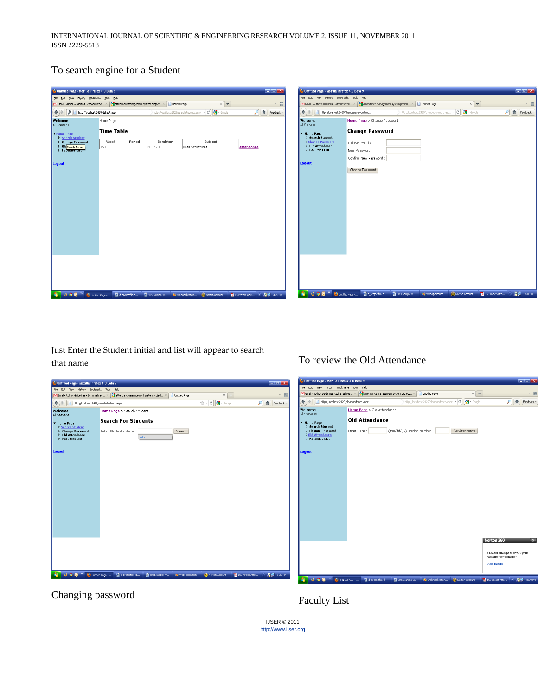# To search engine for a Student

| <sup>2</sup> Untitled Page - Mozilla Firefox 4.0 Beta 9                               |                   |                 |                      |                                                                                                         | $= 5x$                                   | <sup>2</sup> Untitled Page - Mozilla Firefox 4.0 Beta 9 |                                                                                      |                  |                                                                                                         |                                 | $\Box$ $\Box$ x      |
|---------------------------------------------------------------------------------------|-------------------|-----------------|----------------------|---------------------------------------------------------------------------------------------------------|------------------------------------------|---------------------------------------------------------|--------------------------------------------------------------------------------------|------------------|---------------------------------------------------------------------------------------------------------|---------------------------------|----------------------|
| File Edit View History Bookmarks Tools Help                                           |                   |                 |                      |                                                                                                         |                                          | File Edit View History Bookmarks Tools Help             |                                                                                      |                  |                                                                                                         |                                 |                      |
| M Gmail - Author Guidelines - 2dhanashree X   Mattendance management system project X |                   |                 | <b>Untitled Page</b> | $x +$                                                                                                   | - 田                                      |                                                         | M Gmail - Author Guidelines - 2dhanashree X 3 attendance management system project X | Untitled Page    | $x$ +                                                                                                   |                                 | - 田                  |
|                                                                                       |                   |                 |                      | http://localhost:2429/searchstudents.aspx $\mathbf{r} \in \mathbb{C}$ $\left\  \cdot \right\ $ + Google | $\rho$   $\hat{\mathbf{n}}$   Feedback - | http://localhost:2429/changepassword.aspx               |                                                                                      |                  | http://localhost:2429/changepassword.aspx $\star$ $\mathcal{C}$ $\left\  \cdot \right\ $ $\star$ Google |                                 | $P$ feedback $\cdot$ |
| Welcome<br>Al Stevens                                                                 | Home Page         |                 |                      |                                                                                                         |                                          | Welcome<br>Al Stevens                                   | Home Page > Change Password                                                          |                  |                                                                                                         |                                 |                      |
| <b>V</b> Home Page<br>D Search Student                                                | <b>Time Table</b> |                 |                      |                                                                                                         |                                          | ▼ Home Page<br>▷ Search Student                         | <b>Change Password</b>                                                               |                  |                                                                                                         |                                 |                      |
| <b>D</b> Change Password                                                              | Week              | Period          | Semister             | Subject                                                                                                 |                                          | D Change Password                                       | Old Password:                                                                        |                  |                                                                                                         |                                 |                      |
| D Old Search Student                                                                  | Thu               |                 | BE CS,3              | Data Structures                                                                                         | Attendance                               | D Old Attendance<br><b>Faculties List</b>               | New Password :                                                                       |                  |                                                                                                         |                                 |                      |
|                                                                                       |                   |                 |                      |                                                                                                         |                                          |                                                         | Confirm New Password                                                                 |                  |                                                                                                         |                                 |                      |
| Logout                                                                                |                   |                 |                      |                                                                                                         |                                          | <b>Logout</b>                                           |                                                                                      |                  |                                                                                                         |                                 |                      |
|                                                                                       |                   |                 |                      |                                                                                                         |                                          |                                                         | Change Password                                                                      |                  |                                                                                                         |                                 |                      |
|                                                                                       |                   |                 |                      |                                                                                                         |                                          |                                                         |                                                                                      |                  |                                                                                                         |                                 |                      |
|                                                                                       |                   |                 |                      |                                                                                                         |                                          |                                                         |                                                                                      |                  |                                                                                                         |                                 |                      |
|                                                                                       |                   |                 |                      |                                                                                                         |                                          |                                                         |                                                                                      |                  |                                                                                                         |                                 |                      |
|                                                                                       |                   |                 |                      |                                                                                                         |                                          |                                                         |                                                                                      |                  |                                                                                                         |                                 |                      |
|                                                                                       |                   |                 |                      |                                                                                                         |                                          |                                                         |                                                                                      |                  |                                                                                                         |                                 |                      |
|                                                                                       |                   |                 |                      |                                                                                                         |                                          |                                                         |                                                                                      |                  |                                                                                                         |                                 |                      |
|                                                                                       |                   |                 |                      |                                                                                                         |                                          |                                                         |                                                                                      |                  |                                                                                                         |                                 |                      |
|                                                                                       |                   |                 |                      |                                                                                                         |                                          |                                                         |                                                                                      |                  |                                                                                                         |                                 |                      |
|                                                                                       |                   |                 |                      |                                                                                                         |                                          |                                                         |                                                                                      |                  |                                                                                                         |                                 |                      |
|                                                                                       |                   |                 |                      |                                                                                                         |                                          |                                                         |                                                                                      |                  |                                                                                                         |                                 |                      |
|                                                                                       |                   |                 |                      |                                                                                                         |                                          |                                                         |                                                                                      |                  |                                                                                                         |                                 |                      |
|                                                                                       |                   |                 |                      |                                                                                                         |                                          |                                                         |                                                                                      |                  |                                                                                                         |                                 |                      |
|                                                                                       |                   |                 |                      |                                                                                                         |                                          |                                                         |                                                                                      |                  |                                                                                                         |                                 |                      |
|                                                                                       |                   |                 |                      |                                                                                                         |                                          |                                                         |                                                                                      |                  |                                                                                                         |                                 |                      |
|                                                                                       |                   |                 |                      |                                                                                                         |                                          |                                                         |                                                                                      |                  |                                                                                                         |                                 |                      |
|                                                                                       |                   |                 |                      |                                                                                                         |                                          |                                                         |                                                                                      |                  |                                                                                                         |                                 |                      |
|                                                                                       |                   |                 |                      |                                                                                                         |                                          |                                                         |                                                                                      |                  |                                                                                                         |                                 |                      |
|                                                                                       | Untiled Page -    | d projectfile.d |                      | SRSExample-w <b>20</b> WebApplication O Norton Account                                                  | 15. Project Atte 3 . 2 . 3:26 PM         | Æ                                                       |                                                                                      | 0 Morton Account |                                                                                                         | 15. Project Atte © 2012 3:28 PM |                      |
|                                                                                       |                   |                 |                      |                                                                                                         |                                          |                                                         |                                                                                      |                  |                                                                                                         |                                 |                      |

Just Enter the Student initial and list will appear to search that name

# To review the Old Attendance



Changing password

Faculty List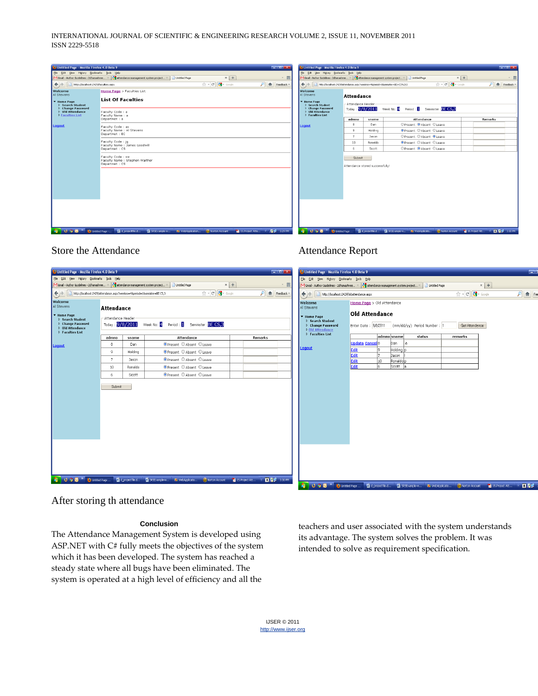| Untitled Page - Mozilla Firefox 4.0 Beta 9                                   | <b>College St</b>                                                                                                                                                                                                                   | J Untitled Page - Mozilla Firefox 4.0 Beta 9                                                                         |                                                         |         |                                                                                                                                                                                                                                                                                                                                                                                                                        | $=$ $-$      |  |  |
|------------------------------------------------------------------------------|-------------------------------------------------------------------------------------------------------------------------------------------------------------------------------------------------------------------------------------|----------------------------------------------------------------------------------------------------------------------|---------------------------------------------------------|---------|------------------------------------------------------------------------------------------------------------------------------------------------------------------------------------------------------------------------------------------------------------------------------------------------------------------------------------------------------------------------------------------------------------------------|--------------|--|--|
| Elle Edit View History Bookmarks Tools Help                                  |                                                                                                                                                                                                                                     | Elle Edit View Higtory Bookmarks Tools Help                                                                          |                                                         |         |                                                                                                                                                                                                                                                                                                                                                                                                                        |              |  |  |
|                                                                              | $\times$ +<br>M Gmail - Author Guidelines - 2dhanashree X   Mattendance management system project X  <br>Untitled Page<br>- 四                                                                                                       | $x +$<br>· 四<br>MiGmail - Author Guidelines - 2dhanashree X 3 attendance management system project X   Untitled Page |                                                         |         |                                                                                                                                                                                                                                                                                                                                                                                                                        |              |  |  |
| $\leftrightarrow$<br>http://localhost:2429/faculties.aspx                    | ☆ - C $\left \frac{1}{2}\right $ - Google<br>$P$ $f$ Feedback $\cdot$                                                                                                                                                               | http://localhost:2429/attendance.aspx?weekno=48period=18semister=BE+C5%2c3                                           |                                                         |         | $\uparrow$ $\uparrow$ $\uparrow$ $\uparrow$ $\uparrow$ $\uparrow$ $\uparrow$ $\uparrow$ $\uparrow$ $\uparrow$ $\uparrow$ $\uparrow$ $\uparrow$ $\uparrow$ $\uparrow$ $\uparrow$ $\uparrow$ $\uparrow$ $\uparrow$ $\uparrow$ $\uparrow$ $\uparrow$ $\uparrow$ $\uparrow$ $\uparrow$ $\uparrow$ $\uparrow$ $\uparrow$ $\uparrow$ $\uparrow$ $\uparrow$ $\uparrow$ $\uparrow$ $\uparrow$ $\uparrow$ $\uparrow$ $\uparrow$ | ♪ feedback * |  |  |
| Welcome<br>Al Stevens                                                        | Home Page > Faculties List                                                                                                                                                                                                          | Welcome<br>Al Stevens                                                                                                | Attendance                                              |         |                                                                                                                                                                                                                                                                                                                                                                                                                        |              |  |  |
| <b>V</b> Home Page<br><b>D</b> Search Student                                | <b>List Of Faculties</b>                                                                                                                                                                                                            | <b>v</b> Home Page<br>▷ Search Student<br><b>D</b> Change Password                                                   | -Attendance Header                                      |         |                                                                                                                                                                                                                                                                                                                                                                                                                        |              |  |  |
| <b>D</b> Change Password<br><b>b</b> Old Attendance<br><b>Faculties List</b> | Faculty Code: a<br>Faculty Name: a                                                                                                                                                                                                  | <b>D</b> Old Attendance<br><b>D</b> Faculties List                                                                   | Today: 9/8/2011 Week No: 4 Period: 1 Seminster: BE CS,3 |         |                                                                                                                                                                                                                                                                                                                                                                                                                        |              |  |  |
|                                                                              | Departmet : a                                                                                                                                                                                                                       |                                                                                                                      | admno                                                   | sname   | Attendance                                                                                                                                                                                                                                                                                                                                                                                                             | Remarks      |  |  |
| Logout                                                                       | Faculty Code : as                                                                                                                                                                                                                   | Logout                                                                                                               | 8                                                       | Dan     | <b>O</b> Present C Absent C Leave                                                                                                                                                                                                                                                                                                                                                                                      |              |  |  |
|                                                                              | Faculty Name: Al Stevens<br>Departmet : EC                                                                                                                                                                                          |                                                                                                                      | 9                                                       | Holding | O Present © Absent © Leave                                                                                                                                                                                                                                                                                                                                                                                             |              |  |  |
|                                                                              |                                                                                                                                                                                                                                     |                                                                                                                      | $\overline{7}$                                          | Jason   | O Present © Absent © Leave                                                                                                                                                                                                                                                                                                                                                                                             |              |  |  |
|                                                                              | Faculty Code: jq<br>Faculty Name : James Goodwill                                                                                                                                                                                   |                                                                                                                      | 10                                                      | Ronaldo | O Present C Absent C Leave                                                                                                                                                                                                                                                                                                                                                                                             |              |  |  |
|                                                                              | Departmet: CS                                                                                                                                                                                                                       |                                                                                                                      | 6                                                       | Scott   | OPresent @ Absent © Leave                                                                                                                                                                                                                                                                                                                                                                                              |              |  |  |
|                                                                              | Faculty Code: sw<br>Faculty Name : Stephen Walther<br>Departmet: CS                                                                                                                                                                 |                                                                                                                      | Submit<br>Attendance stored successfully!               |         |                                                                                                                                                                                                                                                                                                                                                                                                                        |              |  |  |
|                                                                              |                                                                                                                                                                                                                                     |                                                                                                                      |                                                         |         |                                                                                                                                                                                                                                                                                                                                                                                                                        |              |  |  |
|                                                                              |                                                                                                                                                                                                                                     |                                                                                                                      |                                                         |         |                                                                                                                                                                                                                                                                                                                                                                                                                        |              |  |  |
|                                                                              |                                                                                                                                                                                                                                     |                                                                                                                      |                                                         |         |                                                                                                                                                                                                                                                                                                                                                                                                                        |              |  |  |
|                                                                              |                                                                                                                                                                                                                                     |                                                                                                                      |                                                         |         |                                                                                                                                                                                                                                                                                                                                                                                                                        |              |  |  |
|                                                                              |                                                                                                                                                                                                                                     |                                                                                                                      |                                                         |         |                                                                                                                                                                                                                                                                                                                                                                                                                        |              |  |  |
|                                                                              |                                                                                                                                                                                                                                     |                                                                                                                      |                                                         |         |                                                                                                                                                                                                                                                                                                                                                                                                                        |              |  |  |
|                                                                              |                                                                                                                                                                                                                                     |                                                                                                                      |                                                         |         |                                                                                                                                                                                                                                                                                                                                                                                                                        |              |  |  |
|                                                                              |                                                                                                                                                                                                                                     |                                                                                                                      |                                                         |         |                                                                                                                                                                                                                                                                                                                                                                                                                        |              |  |  |
|                                                                              |                                                                                                                                                                                                                                     |                                                                                                                      |                                                         |         |                                                                                                                                                                                                                                                                                                                                                                                                                        |              |  |  |
| <b>Contractor Contractor Contractor</b>                                      | <b>Continuation</b> of the measures of the international continues of the measures of the first continues of the continues of the continues of the continues of the continues of the continues of the continues of the continues of |                                                                                                                      |                                                         |         | <b>EX IS A REAL PROPERTY OF A CONSULTANT CONTINUES OF A REPORT OF A REPORT OF A REPORT OF A REPORT OF A REPORT OF A REPORT OF A REPORT OF A REPORT OF A REPORT OF A REPORT OF A REPORT OF A REPORT OF A REPORT OF A REPORT OF A </b>                                                                                                                                                                                   |              |  |  |

### Store the Attendance

| Untitled Page - Mozilla Firefox 4.0 Beta 9                                                      |                   |         |                                                                                                                      | $  x$                | Untitled Page - Mozilla Firefox 4.0 Beta 9                                                 |                                                                                                                         |                                                                                                                                                                                                                                                                                                                                                                                                                        | $\equiv$                     |
|-------------------------------------------------------------------------------------------------|-------------------|---------|----------------------------------------------------------------------------------------------------------------------|----------------------|--------------------------------------------------------------------------------------------|-------------------------------------------------------------------------------------------------------------------------|------------------------------------------------------------------------------------------------------------------------------------------------------------------------------------------------------------------------------------------------------------------------------------------------------------------------------------------------------------------------------------------------------------------------|------------------------------|
| Elle Edit View History Bookmarks Tools Help                                                     |                   |         |                                                                                                                      |                      | File Edit View History Bookmarks Tools Help                                                |                                                                                                                         |                                                                                                                                                                                                                                                                                                                                                                                                                        |                              |
| M Gmail - Author Guidelines - 2dhanashree X & attendance management system project X            |                   |         | $x$ +<br>Untitled Page                                                                                               | - 晋                  |                                                                                            | M Gmail - Author Guidelines - 2chanashree X 3 attendance management system project X                                    | $x$ +<br>Untitled Page                                                                                                                                                                                                                                                                                                                                                                                                 |                              |
| $\bigodot$<br>http://localhost:2429/attendance.aspx?weekno=48period=18semister=BE CS,3          |                   |         | $\uparrow$ - $\mathcal{C}$ $\downarrow$ - Google                                                                     | $P$ feedback $\cdot$ | http://locahost:2429/oldattendance.aspx<br>$\leftarrow$ $\rightarrow$                      |                                                                                                                         | $\uparrow$ $\uparrow$ $\uparrow$ $\uparrow$ $\uparrow$ $\uparrow$ $\uparrow$ $\uparrow$ $\uparrow$ $\uparrow$ $\uparrow$ $\uparrow$ $\uparrow$ $\uparrow$ $\uparrow$ $\uparrow$ $\uparrow$ $\uparrow$ $\uparrow$ $\uparrow$ $\uparrow$ $\uparrow$ $\uparrow$ $\uparrow$ $\uparrow$ $\uparrow$ $\uparrow$ $\uparrow$ $\uparrow$ $\uparrow$ $\uparrow$ $\uparrow$ $\uparrow$ $\uparrow$ $\uparrow$ $\uparrow$ $\uparrow$ | $\rho$ $\uparrow$ $\uparrow$ |
| <b>Welcome</b><br>Al Stevens                                                                    | <b>Attendance</b> |         |                                                                                                                      |                      | Welcome<br>Al Stevens                                                                      | Home Page > Old Attendance                                                                                              |                                                                                                                                                                                                                                                                                                                                                                                                                        |                              |
| ▼ Home Page<br>▷ Search Student<br>▷ Change Password<br><b>Did Attendance</b><br>Faculties List | Attendance Header |         | Today : 9/8/2011 Week No: 4 Period : 1 Seminster : BE CS,3                                                           |                      | ▼ Home Page<br>▷ Search Student<br>▷ Change Password<br>▶ Old Attendance<br>Faculties List | <b>Old Attendance</b><br>Enter Date: 9/8/2011 (mm/dd/yy) Period Number: 1                                               | GetAttendance                                                                                                                                                                                                                                                                                                                                                                                                          |                              |
|                                                                                                 | admno             | sname   | Attendance                                                                                                           | <b>Remarks</b>       |                                                                                            | admno sname<br>status                                                                                                   | remarks                                                                                                                                                                                                                                                                                                                                                                                                                |                              |
| Logout                                                                                          | 8                 | Dan     | O Present © Absent © Leave                                                                                           |                      | Logout                                                                                     | <b>Update Cancel</b> 8<br>Dan<br>l a                                                                                    |                                                                                                                                                                                                                                                                                                                                                                                                                        |                              |
|                                                                                                 | -9                | Holding | O Present © Absent © Leave                                                                                           |                      |                                                                                            | Holding p<br>Edit<br>lg.<br>Edit<br>l۶<br>Jason                                                                         |                                                                                                                                                                                                                                                                                                                                                                                                                        |                              |
|                                                                                                 | $\overline{7}$    | Jason   | O Present © Absent © Leave                                                                                           |                      |                                                                                            | 10<br>Edit<br>Ronaldop                                                                                                  |                                                                                                                                                                                                                                                                                                                                                                                                                        |                              |
|                                                                                                 | 10                | Ronaldo | O Present © Absent © Leave                                                                                           |                      |                                                                                            | ١ĥ<br>Edit<br>Scott a                                                                                                   |                                                                                                                                                                                                                                                                                                                                                                                                                        |                              |
|                                                                                                 | 6                 | Scott   | O Present © Absent © Leave                                                                                           |                      |                                                                                            |                                                                                                                         |                                                                                                                                                                                                                                                                                                                                                                                                                        |                              |
|                                                                                                 | Submit            |         |                                                                                                                      |                      |                                                                                            |                                                                                                                         |                                                                                                                                                                                                                                                                                                                                                                                                                        |                              |
| $\begin{array}{ccc} & & & \\ \circ & \circ & \circ \end{array}$<br>Æ.                           |                   |         | ● Unitled Page  ■ 20 d_projectfile.d ■ SRSExample-w ● WebApplicatio ● Norton Account ■ 15.Project Att ● ■ 風景 3:30 PM |                      | a,                                                                                         | U → O ™ → Untitled Page  ■ Pid_projectfile.d ■ SRSExample-w ■ WebApplicatio ● O Intron Account ■ 15.Project Att © 18 见录 |                                                                                                                                                                                                                                                                                                                                                                                                                        |                              |

Attendance Report

#### After storing th attendance

#### **Conclusion**

The Attendance Management System is developed using ASP.NET with C# fully meets the objectives of the system which it has been developed. The system has reached a steady state where all bugs have been eliminated. The system is operated at a high level of efficiency and all the

teachers and user associated with the system understands its advantage. The system solves the problem. It was intended to solve as requirement specification.